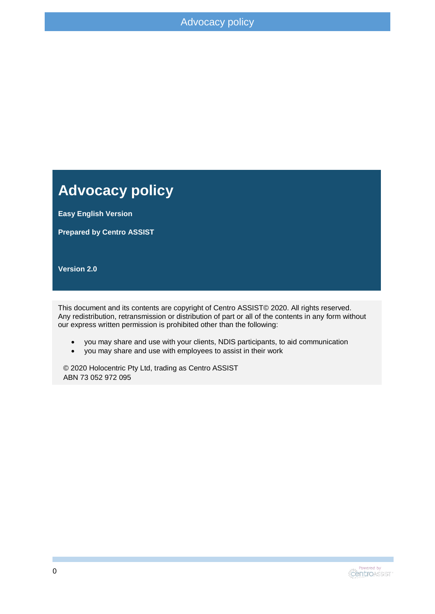#### **Advocacy policy**

**Easy English Version**

**Prepared by Centro ASSIST**

**Version 2.0**

This document and its contents are copyright of Centro ASSIST© 2020. All rights reserved. Any redistribution, retransmission or distribution of part or all of the contents in any form without our express written permission is prohibited other than the following:

- you may share and use with your clients, NDIS participants, to aid communication
- you may share and use with employees to assist in their work

© 2020 Holocentric Pty Ltd, trading as Centro ASSIST ABN 73 052 972 095

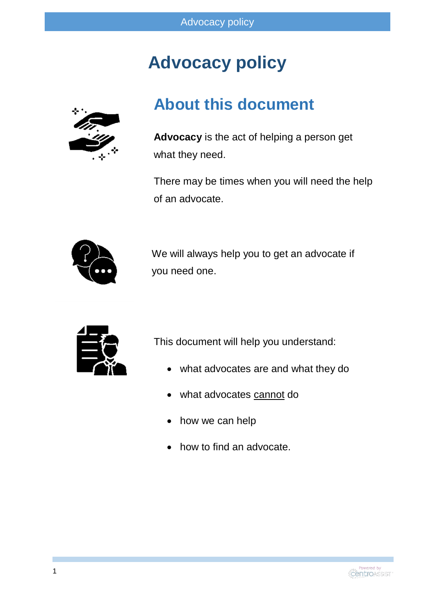# **Advocacy policy**



#### **About this document**

**Advocacy** is the act of helping a person get what they need.

There may be times when you will need the help of an advocate.



We will always help you to get an advocate if you need one.



This document will help you understand:

- what advocates are and what they do
- what advocates cannot do
- how we can help
- how to find an advocate.

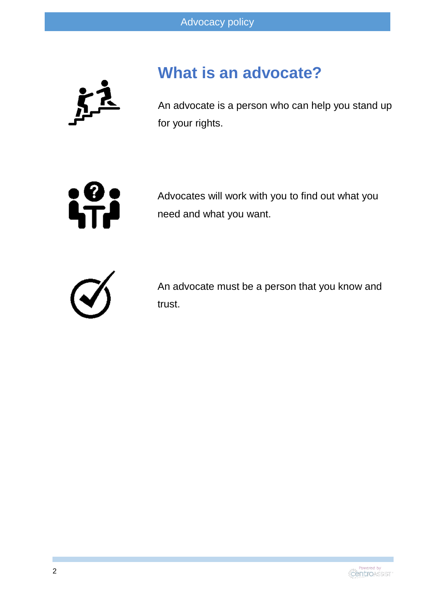

# **What is an advocate?**

An advocate is a person who can help you stand up for your rights.



Advocates will work with you to find out what you need and what you want.



An advocate must be a person that you know and trust.

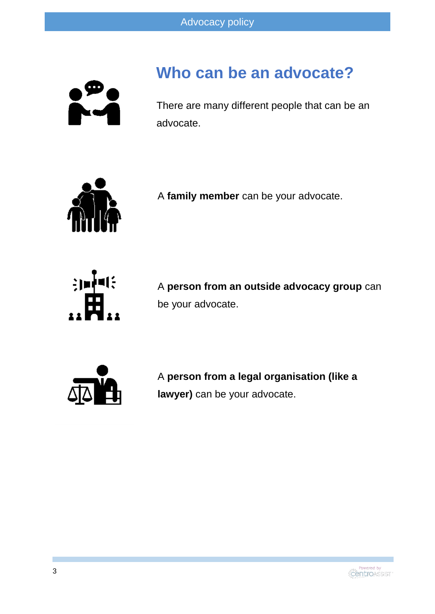

### **Who can be an advocate?**

There are many different people that can be an advocate.



A **family member** can be your advocate.



A **person from an outside advocacy group** can be your advocate.



A **person from a legal organisation (like a lawyer)** can be your advocate.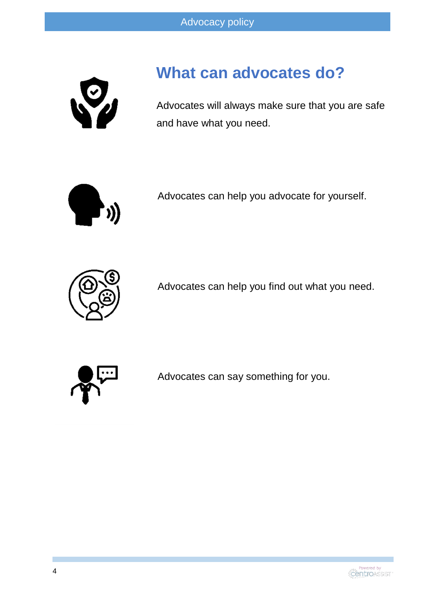

# **What can advocates do?**

Advocates will always make sure that you are safe and have what you need.



Advocates can help you advocate for yourself.



Advocates can help you find out what you need.



Advocates can say something for you.

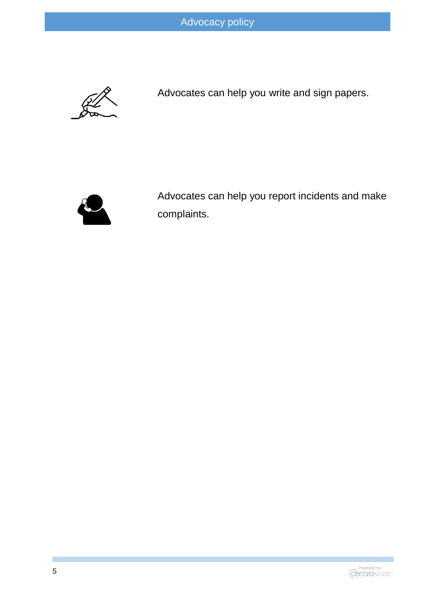

Advocates can help you write and sign papers.



Advocates can help you report incidents and make complaints.

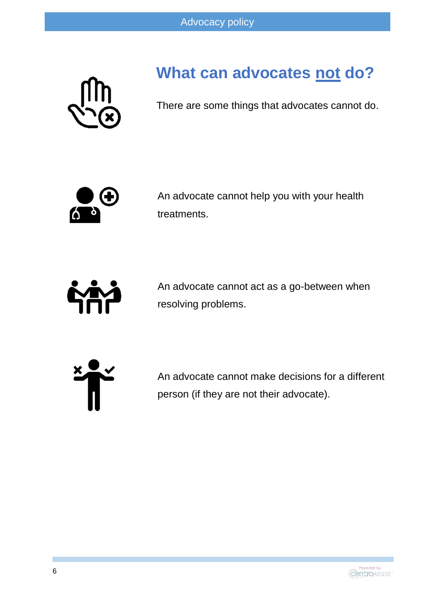

# **What can advocates not do?**

There are some things that advocates cannot do.



An advocate cannot help you with your health treatments.



An advocate cannot act as a go-between when resolving problems.



An advocate cannot make decisions for a different person (if they are not their advocate).

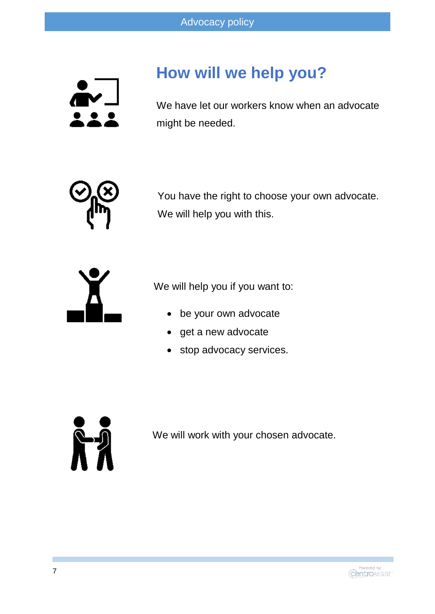

# **How will we help you?**

We have let our workers know when an advocate might be needed.



You have the right to choose your own advocate. We will help you with this.



We will help you if you want to:

- be your own advocate
- get a new advocate
- stop advocacy services.



We will work with your chosen advocate.